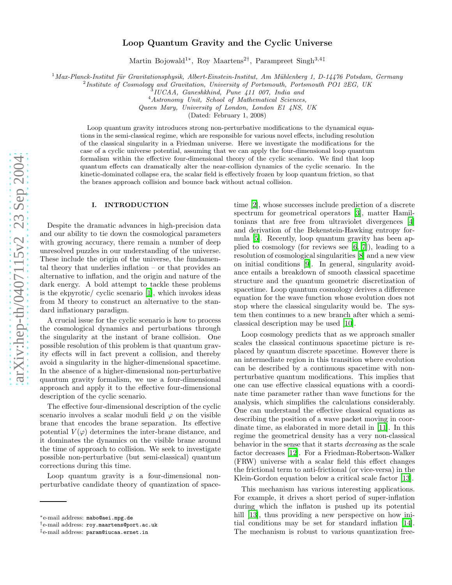# Loop Quantum Gravity and the Cyclic Universe

Martin Bojowald<sup>1\*</sup>, Roy Maartens<sup>2†</sup>, Parampreet Singh<sup>3,4‡</sup>

 $1$ Max-Planck-Institut für Gravitationsphysik, Albert-Einstein-Institut, Am Mühlenberg 1, D-14476 Potsdam, Germany

Institute of Cosmology and Gravitation, University of Portsmouth, Portsmouth PO1 2EG, UK  $3$ IUCAA, Ganeshkhind, Pune 411 007, India and

<sup>4</sup>Astronomy Unit, School of Mathematical Sciences,

Queen Mary, University of London, London E1 4NS, UK

(Dated: February 1, 2008)

Loop quantum gravity introduces strong non-perturbative modifications to the dynamical equations in the semi-classical regime, which are responsible for various novel effects, including resolution of the classical singularity in a Friedman universe. Here we investigate the modifications for the case of a cyclic universe potential, assuming that we can apply the four-dimensional loop quantum formalism within the effective four-dimensional theory of the cyclic scenario. We find that loop quantum effects can dramatically alter the near-collision dynamics of the cyclic scenario. In the kinetic-dominated collapse era, the scalar field is effectively frozen by loop quantum friction, so that the branes approach collision and bounce back without actual collision.

### I. INTRODUCTION

Despite the dramatic advances in high-precision data and our ability to tie down the cosmological parameters with growing accuracy, there remain a number of deep unresolved puzzles in our understanding of the universe. These include the origin of the universe, the fundamental theory that underlies inflation – or that provides an alternative to inflation, and the origin and nature of the dark energy. A bold attempt to tackle these problems is the ekpyrotic/ cyclic scenario [\[1\]](#page-5-0), which invokes ideas from M theory to construct an alternative to the standard inflationary paradigm.

A crucial issue for the cyclic scenario is how to process the cosmological dynamics and perturbations through the singularity at the instant of brane collision. One possible resolution of this problem is that quantum gravity effects will in fact prevent a collision, and thereby avoid a singularity in the higher-dimensional spacetime. In the absence of a higher-dimensional non-perturbative quantum gravity formalism, we use a four-dimensional approach and apply it to the effective four-dimensional description of the cyclic scenario.

The effective four-dimensional description of the cyclic scenario involves a scalar moduli field  $\varphi$  on the visible brane that encodes the brane separation. Its effective potential  $V(\varphi)$  determines the inter-brane distance, and it dominates the dynamics on the visible brane around the time of approach to collision. We seek to investigate possible non-perturbative (but semi-classical) quantum corrections during this time.

Loop quantum gravity is a four-dimensional nonperturbative candidate theory of quantization of space-

time [\[2\]](#page-5-1), whose successes include prediction of a discrete spectrum for geometrical operators [\[3](#page-5-2)], matter Hamiltonians that are free from ultraviolet divergences [\[4](#page-5-3)] and derivation of the Bekenstein-Hawking entropy formula [\[5](#page-5-4)]. Recently, loop quantum gravity has been applied to cosmology (for reviews see [\[6,](#page-5-5) [7\]](#page-5-6)), leading to a resolution of cosmological singularities [\[8\]](#page-5-7) and a new view on initial conditions [\[9\]](#page-5-8). In general, singularity avoidance entails a breakdown of smooth classical spacetime structure and the quantum geometric discretization of spacetime. Loop quantum cosmology derives a difference equation for the wave function whose evolution does not stop where the classical singularity would be. The system then continues to a new branch after which a semiclassical description may be used [\[10\]](#page-5-9).

Loop cosmology predicts that as we approach smaller scales the classical continuous spacetime picture is replaced by quantum discrete spacetime. However there is an intermediate region in this transition where evolution can be described by a continuous spacetime with nonperturbative quantum modifications. This implies that one can use effective classical equations with a coordinate time parameter rather than wave functions for the analysis, which simplifies the calculations considerably. One can understand the effective classical equations as describing the position of a wave packet moving in coordinate time, as elaborated in more detail in [\[11](#page-5-10)]. In this regime the geometrical density has a very non-classical behavior in the sense that it starts decreasing as the scale factor decreases [\[12\]](#page-5-11). For a Friedman-Robertson-Walker (FRW) universe with a scalar field this effect changes the frictional term to anti-frictional (or vice-versa) in the Klein-Gordon equation below a critical scale factor [\[13](#page-5-12)].

This mechanism has various interesting applications. For example, it drives a short period of super-inflation during which the inflaton is pushed up its potential hill [\[13](#page-5-12)], thus providing a new perspective on how initial conditions may be set for standard inflation [\[14\]](#page-5-13). The mechanism is robust to various quantization free-

<sup>∗</sup>e-mail address: mabo@aei.mpg.de

<sup>†</sup> e-mail address: roy.maartens@port.ac.uk

<sup>‡</sup>e-mail address: param@iucaa.ernet.in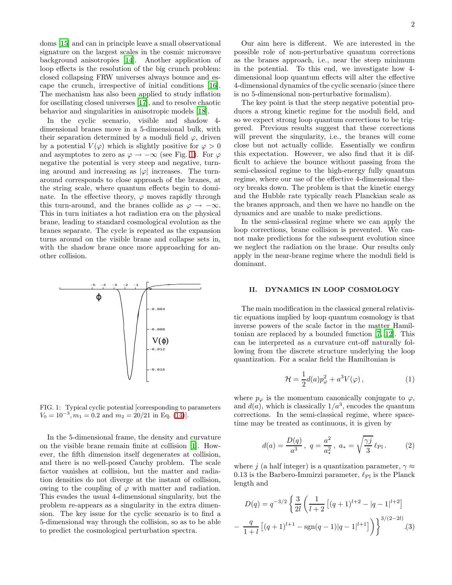doms [\[15](#page-5-14)] and can in principle leave a small observational signature on the largest scales in the cosmic microwave background anisotropies [\[14\]](#page-5-13). Another application of loop effects is the resolution of the big crunch problem: closed collapsing FRW universes always bounce and escape the crunch, irrespective of initial conditions [\[16\]](#page-5-15). The mechanism has also been applied to study inflation for oscillating closed universes [\[17](#page-5-16)], and to resolve chaotic behavior and singularities in anisotropic models [\[18\]](#page-5-17).

In the cyclic scenario, visible and shadow 4 dimensional branes move in a 5-dimensional bulk, with their separation determined by a moduli field  $\varphi$ , driven by a potential  $V(\varphi)$  which is slightly positive for  $\varphi > 0$ and asymptotes to zero as  $\varphi \to -\infty$  (see Fig. [1\)](#page-1-0). For  $\varphi$ negative the potential is very steep and negative, turning around and increasing as  $|\varphi|$  increases. The turnaround corresponds to close approach of the branes, at the string scale, where quantum effects begin to dominate. In the effective theory,  $\varphi$  moves rapidly through this turn-around, and the branes collide as  $\varphi \to -\infty$ . This in turn initiates a hot radiation era on the physical brane, leading to standard cosmological evolution as the branes separate. The cycle is repeated as the expansion turns around on the visible brane and collapse sets in, with the shadow brane once more approaching for another collision.



<span id="page-1-0"></span>FIG. 1: Typical cyclic potential [corresponding to parameters  $V_0 = 10^{-3}$ ,  $m_1 = 0.2$  and  $m_2 = 20/21$  in Eq. [\(14\)](#page-3-0).

In the 5-dimensional frame, the density and curvature on the visible brane remain finite at collision [\[1\]](#page-5-0). However, the fifth dimension itself degenerates at collision, and there is no well-posed Cauchy problem. The scale factor vanishes at collision, but the matter and radiation densities do not diverge at the instant of collision, owing to the coupling of  $\varphi$  with matter and radiation. This evades the usual 4-dimensional singularity, but the problem re-appears as a singularity in the extra dimension. The key issue for the cyclic scenario is to find a 5-dimensional way through the collision, so as to be able to predict the cosmological perturbation spectra.

Our aim here is different. We are interested in the possible role of non-perturbative quantum corrections as the branes approach, i.e., near the steep minimum in the potential. To this end, we investigate how 4 dimensional loop quantum effects will alter the effective 4-dimensional dynamics of the cyclic scenario (since there is no 5-dimensional non-perturbative formalism).

The key point is that the steep negative potential produces a strong kinetic regime for the moduli field, and so we expect strong loop quantum corrections to be triggered. Previous results suggest that these corrections will prevent the singularity, i.e., the branes will come close but not actually collide. Essentially we confirm this expectation. However, we also find that it is difficult to achieve the bounce without passing from the semi-classical regime to the high-energy fully quantum regime, where our use of the effective 4-dimensional theory breaks down. The problem is that the kinetic energy and the Hubble rate typically reach Planckian scale as the branes approach, and then we have no handle on the dynamics and are unable to make predictions.

In the semi-classical regime where we can apply the loop corrections, brane collision is prevented. We cannot make predictions for the subsequent evolution since we neglect the radiation on the brane. Our results only apply in the near-brane regime where the moduli field is dominant.

### II. DYNAMICS IN LOOP COSMOLOGY

The main modification in the classical general relativistic equations implied by loop quantum cosmology is that inverse powers of the scale factor in the matter Hamiltonian are replaced by a bounded function [\[7,](#page-5-6) [12\]](#page-5-11). This can be interpreted as a curvature cut-off naturally following from the discrete structure underlying the loop quantization. For a scalar field the Hamiltonian is

$$
\mathcal{H} = \frac{1}{2}d(a)p_{\varphi}^{2} + a^{3}V(\varphi) , \qquad (1)
$$

where  $p_{\varphi}$  is the momentum canonically conjugate to  $\varphi$ , and  $d(a)$ , which is classically  $1/a^3$ , encodes the quantum corrections. In the semi-classical regime, where spacetime may be treated as continuous, it is given by

$$
d(a) = \frac{D(q)}{a^3}, \ q = \frac{a^2}{a_*^2}, \ a_* = \sqrt{\frac{\gamma j}{3}} \ell_{\text{Pl}}.
$$
 (2)

where j (a half integer) is a quantization parameter,  $\gamma \approx$ 0.13 is the Barbero-Immirzi parameter,  $\ell_{\text{Pl}}$  is the Planck length and

$$
D(q) = q^{-3/2} \left\{ \frac{3}{2l} \left( \frac{1}{l+2} \left[ (q+1)^{l+2} - |q-1|^{l+2} \right] \right. \right.-\left. \frac{q}{1+l} \left[ (q+1)^{l+1} - \text{sgn}(q-1) |q-1|^{l+1} \right] \right) \right\}^{3/(2-2l)}.
$$
(3)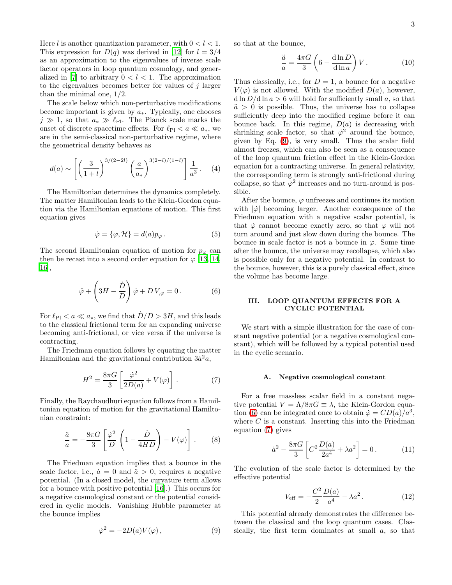Here l is another quantization parameter, with  $0 < l < 1$ . This expression for  $D(q)$  was derived in [\[12\]](#page-5-11) for  $l = 3/4$ as an approximation to the eigenvalues of inverse scale factor operators in loop quantum cosmology, and gener-alized in [\[7](#page-5-6)] to arbitrary  $0 < l < 1$ . The approximation to the eigenvalues becomes better for values of  $j$  larger than the minimal one, 1/2.

The scale below which non-perturbative modifications become important is given by  $a_*$ . Typically, one chooses  $j \gg 1$ , so that  $a_* \gg \ell_{\text{Pl}}$ . The Planck scale marks the onset of discrete spacetime effects. For  $\ell_{\text{Pl}} < a \ll a_*$ , we are in the semi-classical non-perturbative regime, where the geometrical density behaves as

<span id="page-2-3"></span>
$$
d(a) \sim \left[ \left( \frac{3}{1+l} \right)^{3/(2-2l)} \left( \frac{a}{a_*} \right)^{3(2-l)/(1-l)} \right] \frac{1}{a^3} . \tag{4}
$$

The Hamiltonian determines the dynamics completely. The matter Hamiltonian leads to the Klein-Gordon equation via the Hamiltonian equations of motion. This first equation gives

$$
\dot{\varphi} = {\varphi, \mathcal{H}} = d(a) p_{\varphi} . \tag{5}
$$

<span id="page-2-1"></span>The second Hamiltonian equation of motion for  $p_{\varphi}$  can then be recast into a second order equation for  $\varphi$  [\[13,](#page-5-12) [14](#page-5-13), [16\]](#page-5-15),

$$
\ddot{\varphi} + \left(3H - \frac{\dot{D}}{D}\right)\dot{\varphi} + DV_{,\varphi} = 0.
$$
 (6)

For  $\ell_{\text{Pl}} < a \ll a_*$ , we find that  $\dot{D}/D > 3H$ , and this leads to the classical frictional term for an expanding universe becoming anti-frictional, or vice versa if the universe is contracting.

The Friedman equation follows by equating the matter Hamiltonian and the gravitational contribution  $3\dot{a}^2a$ ,

$$
H^2 = \frac{8\pi G}{3} \left[ \frac{\dot{\varphi}^2}{2D(a)} + V(\varphi) \right]. \tag{7}
$$

Finally, the Raychaudhuri equation follows from a Hamiltonian equation of motion for the gravitational Hamiltonian constraint:

$$
\frac{\ddot{a}}{a} = -\frac{8\pi G}{3} \left[ \frac{\dot{\varphi}^2}{D} \left( 1 - \frac{\dot{D}}{4HD} \right) - V(\varphi) \right].
$$
 (8)

<span id="page-2-0"></span>The Friedman equation implies that a bounce in the scale factor, i.e.,  $\dot{a} = 0$  and  $\ddot{a} > 0$ , requires a negative potential. (In a closed model, the curvature term allows for a bounce with positive potential [\[16\]](#page-5-15).) This occurs for a negative cosmological constant or the potential considered in cyclic models. Vanishing Hubble parameter at the bounce implies

$$
\dot{\varphi}^2 = -2D(a)V(\varphi) \,, \tag{9}
$$

so that at the bounce,

$$
\frac{\ddot{a}}{a} = \frac{4\pi G}{3} \left( 6 - \frac{\text{d}\ln D}{\text{d}\ln a} \right) V. \tag{10}
$$

Thus classically, i.e., for  $D = 1$ , a bounce for a negative  $V(\varphi)$  is not allowed. With the modified  $D(a)$ , however,  $d \ln D / d \ln a > 6$  will hold for sufficiently small a, so that  $\ddot{a} > 0$  is possible. Thus, the universe has to collapse sufficiently deep into the modified regime before it can bounce back. In this regime,  $D(a)$  is decreasing with shrinking scale factor, so that  $\dot{\varphi}^2$  around the bounce, given by Eq. [\(9\)](#page-2-0), is very small. Thus the scalar field almost freezes, which can also be seen as a consequence of the loop quantum friction effect in the Klein-Gordon equation for a contracting universe. In general relativity, the corresponding term is strongly anti-frictional during collapse, so that  $\dot{\varphi}^2$  increases and no turn-around is possible.

After the bounce,  $\varphi$  unfreezes and continues its motion with  $|\phi|$  becoming larger. Another consequence of the Friedman equation with a negative scalar potential, is that  $\dot{\varphi}$  cannot become exactly zero, so that  $\varphi$  will not turn around and just slow down during the bounce. The bounce in scale factor is not a bounce in  $\varphi$ . Some time after the bounce, the universe may recollapse, which also is possible only for a negative potential. In contrast to the bounce, however, this is a purely classical effect, since the volume has become large.

## III. LOOP QUANTUM EFFECTS FOR A CYCLIC POTENTIAL

<span id="page-2-2"></span>We start with a simple illustration for the case of constant negative potential (or a negative cosmological constant), which will be followed by a typical potential used in the cyclic scenario.

### A. Negative cosmological constant

<span id="page-2-5"></span>For a free massless scalar field in a constant negative potential  $V = \Lambda/8\pi G \equiv \lambda$ , the Klein-Gordon equa-tion [\(6\)](#page-2-1) can be integrated once to obtain  $\dot{\varphi} = CD(a)/a^3$ , where  $C$  is a constant. Inserting this into the Friedman equation [\(7\)](#page-2-2) gives

$$
\dot{a}^2 - \frac{8\pi G}{3} \left[ C^2 \frac{D(a)}{2a^4} + \lambda a^2 \right] = 0. \tag{11}
$$

<span id="page-2-4"></span>The evolution of the scale factor is determined by the effective potential

$$
V_{\text{eff}} = -\frac{C^2}{2} \frac{D(a)}{a^4} - \lambda a^2. \tag{12}
$$

This potential already demonstrates the difference between the classical and the loop quantum cases. Classically, the first term dominates at small  $a$ , so that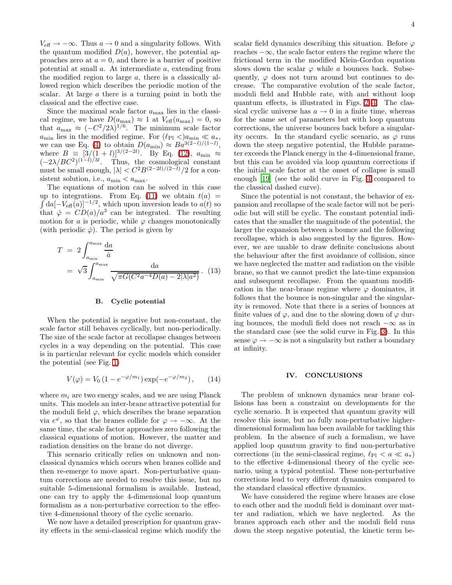$V_{\text{eff}} \rightarrow -\infty$ . Thus  $a \rightarrow 0$  and a singularity follows. With the quantum modified  $D(a)$ , however, the potential approaches zero at  $a = 0$ , and there is a barrier of positive potential at small a. At intermediate a, extending from the modified region to large  $a$ , there is a classically allowed region which describes the periodic motion of the scalar. At large  $a$  there is a turning point in both the classical and the effective case.

Since the maximal scale factor  $a_{\text{max}}$  lies in the classical regime, we have  $D(a_{\text{max}}) \approx 1$  at  $V_{\text{eff}}(a_{\text{max}}) = 0$ , so that  $a_{\text{max}} \approx (-C^2/2\lambda)^{1/6}$ . The minimum scale factor  $a_{\text{min}}$  lies in the modified regime. For  $(\ell_{\text{Pl}} <) a_{\text{min}} \ll a_*$ we can use Eq. [\(4\)](#page-2-3) to obtain  $D(a_{\min}) \approx Ba^{3(2-l)/(1-l)}$ , where  $B = [3/(1 + l)]^{3/(2-2l)}$ . By Eq. [\(12\)](#page-2-4),  $a_{\min} \approx$  $(-2\lambda/BC^2)^{(1-l)/3l}$ . Thus, the cosmological constant must be small enough,  $|\lambda| < C^2 B^{(2-2l)/(2-l)}/2$  for a consistent solution, i.e.,  $a_{\min} < a_{\max}$ .

The equations of motion can be solved in this case  $\int da [-V_{\text{eff}}(a)]^{-1/2}$ , which upon inversion leads to  $a(t)$  so up to integrations. From Eq. [\(11\)](#page-2-5) we obtain  $t(a)$  = that  $\dot{\varphi} = CD(a)/a^3$  can be integrated. The resulting motion for a is periodic, while  $\varphi$  changes monotonically (with periodic  $\dot{\varphi}$ ). The period is given by

$$
T = 2 \int_{a_{\min}}^{a_{\max}} \frac{da}{\dot{a}}
$$
  
=  $\sqrt{3} \int_{a_{\min}}^{a_{\max}} \frac{da}{\sqrt{\pi G (C^2 a^{-4} D(a) - 2|\lambda| a^2)}}.$  (13)

#### B. Cyclic potential

When the potential is negative but non-constant, the scale factor still behaves cyclically, but non-periodically. The size of the scale factor at recollapse changes between cycles in a way depending on the potential. This case is in particular relevant for cyclic models which consider the potential (see Fig. [1\)](#page-1-0)

<span id="page-3-0"></span>
$$
V(\varphi) = V_0 \left( 1 - e^{-\varphi/m_1} \right) \exp(-e^{-\varphi/m_2}), \quad (14)
$$

where  $m_i$  are two energy scales, and we are using Planck units. This models an inter-brane attractive potential for the moduli field  $\varphi$ , which describes the brane separation via  $e^{\varphi}$ , so that the branes collide for  $\varphi \to -\infty$ . At the same time, the scale factor approaches zero following the classical equations of motion. However, the matter and radiation densities on the brane do not diverge.

This scenario critically relies on unknown and nonclassical dynamics which occurs when branes collide and then re-emerge to move apart. Non-perturbative quantum corrections are needed to resolve this issue, but no suitable 5-dimensional formalism is available. Instead, one can try to apply the 4-dimensional loop quantum formalism as a non-perturbative correction to the effective 4-dimensional theory of the cyclic scenario.

We now have a detailed prescription for quantum gravity effects in the semi-classical regime which modify the scalar field dynamics describing this situation. Before  $\varphi$ reaches  $-\infty$ , the scale factor enters the regime where the frictional term in the modified Klein-Gordon equation slows down the scalar  $\varphi$  while a bounces back. Subsequently,  $\varphi$  does not turn around but continues to decrease. The comparative evolution of the scale factor, moduli field and Hubble rate, with and without loop quantum effects, is illustrated in Figs. [2](#page-4-0)[–4.](#page-4-1) The classical cyclic universe has  $a \to 0$  in a finite time, whereas for the same set of parameters but with loop quantum corrections, the universe bounces back before a singularity occurs. In the standard cyclic scenario, as  $\varphi$  runs down the steep negative potential, the Hubble parameter exceeds the Planck energy in the 4-dimensional frame, but this can be avoided via loop quantum corrections if the initial scale factor at the onset of collapse is small enough [\[19](#page-5-18)] (see the solid curve in Fig. [4](#page-4-1) compared to the classical dashed curve).

Since the potential is not constant, the behavior of expansion and recollapse of the scale factor will not be periodic but will still be cyclic. The constant potential indicates that the smaller the magnitude of the potential, the larger the expansion between a bounce and the following recollapse, which is also suggested by the figures. However, we are unable to draw definite conclusions about the behaviour after the first avoidance of collision, since we have neglected the matter and radiation on the visible brane, so that we cannot predict the late-time expansion and subsequent recollapse. From the quantum modification in the near-brane regime where  $\varphi$  dominates, it follows that the bounce is non-singular and the singularity is removed. Note that there is a series of bounces at finite values of  $\varphi$ , and due to the slowing down of  $\varphi$  during bounces, the moduli field does not reach  $-\infty$  as in the standard case (see the solid curve in Fig. [3\)](#page-4-2). In this sense  $\varphi \to -\infty$  is not a singularity but rather a boundary at infinity.

### IV. CONCLUSIONS

The problem of unknown dynamics near brane collisions has been a constraint on developments for the cyclic scenario. It is expected that quantum gravity will resolve this issue, but no fully non-perturbative higherdimensional formalism has been available for tackling this problem. In the absence of such a formalism, we have applied loop quantum gravity to find non-perturbative corrections (in the semi-classical regime,  $\ell_{\text{Pl}} < a \ll a_*$ ) to the effective 4-dimensional theory of the cyclic scenario, using a typical potential. These non-perturbative corrections lead to very different dynamics compared to the standard classical effective dynamics.

We have considered the regime where branes are close to each other and the moduli field is dominant over matter and radiation, which we have neglected. As the branes approach each other and the moduli field runs down the steep negative potential, the kinetic term be-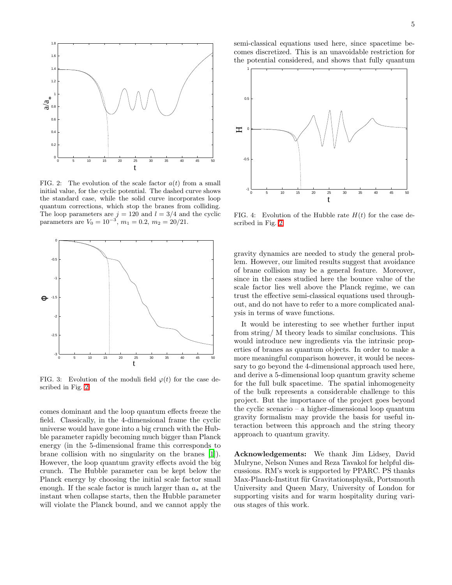

<span id="page-4-0"></span>FIG. 2: The evolution of the scale factor  $a(t)$  from a small initial value, for the cyclic potential. The dashed curve shows the standard case, while the solid curve incorporates loop quantum corrections, which stop the branes from colliding. The loop parameters are  $j = 120$  and  $l = 3/4$  and the cyclic parameters are  $V_0 = 10^{-3}$ ,  $m_1 = 0.2$ ,  $m_2 = 20/21$ .



<span id="page-4-2"></span>FIG. 3: Evolution of the moduli field  $\varphi(t)$  for the case described in Fig. [2.](#page-4-0)

comes dominant and the loop quantum effects freeze the field. Classically, in the 4-dimensional frame the cyclic universe would have gone into a big crunch with the Hubble parameter rapidly becoming much bigger than Planck energy (in the 5-dimensional frame this corresponds to brane collision with no singularity on the branes [\[1\]](#page-5-0)). However, the loop quantum gravity effects avoid the big crunch. The Hubble parameter can be kept below the Planck energy by choosing the initial scale factor small enough. If the scale factor is much larger than  $a_*$  at the instant when collapse starts, then the Hubble parameter will violate the Planck bound, and we cannot apply the

semi-classical equations used here, since spacetime becomes discretized. This is an unavoidable restriction for the potential considered, and shows that fully quantum



<span id="page-4-1"></span>FIG. 4: Evolution of the Hubble rate  $H(t)$  for the case described in Fig. [2.](#page-4-0)

gravity dynamics are needed to study the general problem. However, our limited results suggest that avoidance of brane collision may be a general feature. Moreover, since in the cases studied here the bounce value of the scale factor lies well above the Planck regime, we can trust the effective semi-classical equations used throughout, and do not have to refer to a more complicated analysis in terms of wave functions.

It would be interesting to see whether further input from string/ M theory leads to similar conclusions. This would introduce new ingredients via the intrinsic properties of branes as quantum objects. In order to make a more meaningful comparison however, it would be necessary to go beyond the 4-dimensional approach used here, and derive a 5-dimensional loop quantum gravity scheme for the full bulk spacetime. The spatial inhomogeneity of the bulk represents a considerable challenge to this project. But the importance of the project goes beyond the cyclic scenario – a higher-dimensional loop quantum gravity formalism may provide the basis for useful interaction between this approach and the string theory approach to quantum gravity.

Acknowledgements: We thank Jim Lidsey, David Mulryne, Nelson Nunes and Reza Tavakol for helpful discussions. RM's work is supported by PPARC. PS thanks Max-Planck-Institut für Gravitationsphysik, Portsmouth University and Queen Mary, University of London for supporting visits and for warm hospitality during various stages of this work.